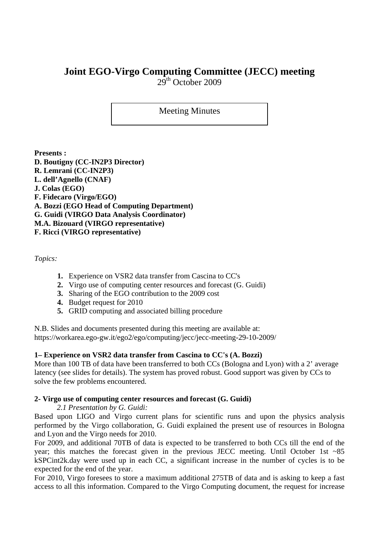# **Joint EGO-Virgo Computing Committee (JECC) meeting**

 $29<sup>th</sup>$  October 2009

## Meeting Minutes

**Presents : D. Boutigny (CC-IN2P3 Director) R. Lemrani (CC-IN2P3) L. dell'Agnello (CNAF) J. Colas (EGO) F. Fidecaro (Virgo/EGO) A. Bozzi (EGO Head of Computing Department) G. Guidi (VIRGO Data Analysis Coordinator) M.A. Bizouard (VIRGO representative) F. Ricci (VIRGO representative)** 

*Topics:* 

- **1.** Experience on VSR2 data transfer from Cascina to CC's
- **2.** Virgo use of computing center resources and forecast (G. Guidi)
- **3.** Sharing of the EGO contribution to the 2009 cost
- **4.** Budget request for 2010
- **5.** GRID computing and associated billing procedure

N.B. Slides and documents presented during this meeting are available at: https://workarea.ego-gw.it/ego2/ego/computing/jecc/jecc-meeting-29-10-2009/

### **1– Experience on VSR2 data transfer from Cascina to CC's (A. Bozzi)**

More than 100 TB of data have been transferred to both CCs (Bologna and Lyon) with a 2' average latency (see slides for details). The system has proved robust. Good support was given by CCs to solve the few problems encountered.

#### **2- Virgo use of computing center resources and forecast (G. Guidi)**

*2.1 Presentation by G. Guidi:* 

Based upon LIGO and Virgo current plans for scientific runs and upon the physics analysis performed by the Virgo collaboration, G. Guidi explained the present use of resources in Bologna and Lyon and the Virgo needs for 2010.

For 2009, and additional 70TB of data is expected to be transferred to both CCs till the end of the year; this matches the forecast given in the previous JECC meeting. Until October 1st ~85 kSPCint2k.day were used up in each CC, a significant increase in the number of cycles is to be expected for the end of the year.

For 2010, Virgo foresees to store a maximum additional 275TB of data and is asking to keep a fast access to all this information. Compared to the Virgo Computing document, the request for increase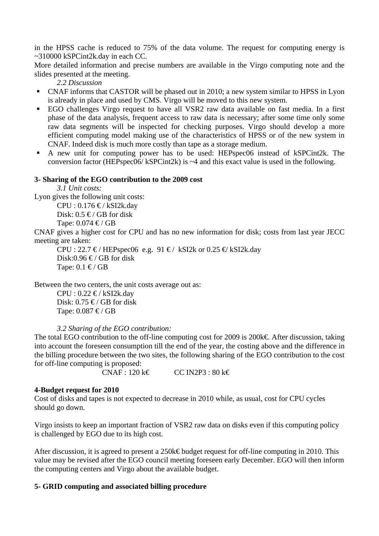in the HPSS cache is reduced to 75% of the data volume. The request for computing energy is ~310000 kSPCint2k.day in each CC.

More detailed information and precise numbers are available in the Virgo computing note and the slides presented at the meeting.

*2.2 Discussion* 

- CNAF informs that CASTOR will be phased out in 2010; a new system similar to HPSS in Lyon is already in place and used by CMS. Virgo will be moved to this new system.
- EGO challenges Virgo request to have all VSR2 raw data available on fast media. In a first phase of the data analysis, frequent access to raw data is necessary; after some time only some raw data segments will be inspected for checking purposes. Virgo should develop a more efficient computing model making use of the characteristics of HPSS or of the new system in CNAF. Indeed disk is much more costly than tape as a storage medium.
- A new unit for computing power has to be used: HEPspec06 instead of kSPCint2k. The conversion factor (HEPspec06/ kSPCint2k) is ~4 and this exact value is used in the following.

#### **3- Sharing of the EGO contribution to the 2009 cost**

*3.1 Unit costs:* 

Lyon gives the following unit costs:

 $CPU : 0.176 \in / kSI2k/day$ Disk:  $0.5 \in$ / GB for disk Tape:  $0.074 \leq f \leq$ 

CNAF gives a higher cost for CPU and has no new information for disk; costs from last year JECC meeting are taken:

CPU : 22.7  $\epsilon$ / HEPspec06 e.g. 91  $\epsilon$ / kSI2k or 0.25  $\epsilon$  kSI2k.day Disk:0.96  $\in$ / GB for disk Tape:  $0.1 \in / GB$ 

Between the two centers, the unit costs average out as:

 $CPU : 0.22 \in / kSI2k/day$ Disk:  $0.75 \in \mathcal{C}$  GB for disk Tape:  $0.087 \leq f$  GB

#### *3.2 Sharing of the EGO contribution:*

The total EGO contribution to the off-line computing cost for 2009 is 200k€. After discussion, taking into account the foreseen consumption till the end of the year, the costing above and the difference in the billing procedure between the two sites, the following sharing of the EGO contribution to the cost for off-line computing is proposed:

 $CNAF: 120 \text{ k} \in \text{CC} \text{ IN2P3}: 80 \text{ k} \in \text{C}$ 

#### **4-Budget request for 2010**

Cost of disks and tapes is not expected to decrease in 2010 while, as usual, cost for CPU cycles should go down.

Virgo insists to keep an important fraction of VSR2 raw data on disks even if this computing policy is challenged by EGO due to its high cost.

After discussion, it is agreed to present a 250k€ budget request for off-line computing in 2010. This value may be revised after the EGO council meeting foreseen early December. EGO will then inform the computing centers and Virgo about the available budget.

#### **5- GRID computing and associated billing procedure**